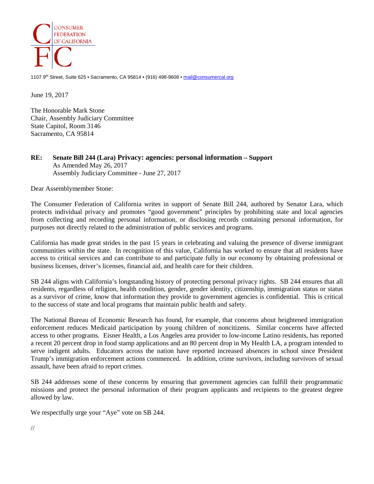

1107 9<sup>th</sup> Street, Suite 625 • Sacramento, CA 95814 • (916) 498-9608 [• mail@consumercal.org](mailto:mail@consumercal.org)

June 19, 2017

The Honorable Mark Stone Chair, Assembly Judiciary Committee State Capitol, Room 3146 Sacramento, CA 95814

## **RE: Senate Bill 244 (Lara) Privacy: agencies: personal information – Support** As Amended May 26, 2017 Assembly Judiciary Committee - June 27, 2017

Dear Assemblymember Stone:

The Consumer Federation of California writes in support of Senate Bill 244, authored by Senator Lara, which protects individual privacy and promotes "good government" principles by prohibiting state and local agencies from collecting and recording personal information, or disclosing records containing personal information, for purposes not directly related to the administration of public services and programs.

California has made great strides in the past 15 years in celebrating and valuing the presence of diverse immigrant communities within the state. In recognition of this value, California has worked to ensure that all residents have access to critical services and can contribute to and participate fully in our economy by obtaining professional or business licenses, driver's licenses, financial aid, and health care for their children.

SB 244 aligns with California's longstanding history of protecting personal privacy rights. SB 244 ensures that all residents, regardless of religion, health condition, gender, gender identity, citizenship, immigration status or status as a survivor of crime, know that information they provide to government agencies is confidential. This is critical to the success of state and local programs that maintain public health and safety.

The National Bureau of Economic Research has found, for example, that concerns about heightened immigration enforcement reduces Medicaid participation by young children of noncitizens. Similar concerns have affected access to other programs. Eisner Health, a Los Angeles area provider to low-income Latino residents, has reported a recent 20 percent drop in food stamp applications and an 80 percent drop in My Health LA, a program intended to serve indigent adults. Educators across the nation have reported increased absences in school since President Trump's immigration enforcement actions commenced. In addition, crime survivors, including survivors of sexual assault, have been afraid to report crimes.

SB 244 addresses some of these concerns by ensuring that government agencies can fulfill their programmatic missions and protect the personal information of their program applicants and recipients to the greatest degree allowed by law.

We respectfully urge your "Aye" vote on SB 244.